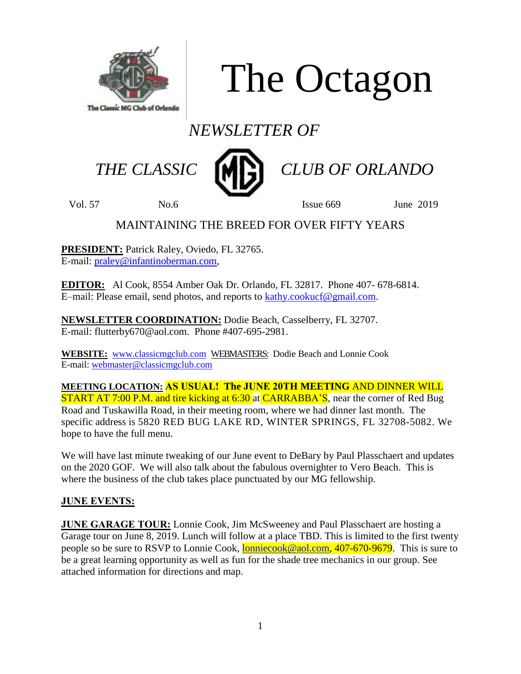

The Octagon

# *NEWSLETTER OF*



THE CLASSIC **MP** CLUB OF ORLANDO

Vol. 57 No.6 Issue 669 June 2019

## MAINTAINING THE BREED FOR OVER FIFTY YEARS

**PRESIDENT:** Patrick Raley, Oviedo, FL 32765. E-mail: [praley@infantinoberman.com,](mailto:praley@infantinoberman.com)

**EDITOR:** Al Cook, 8554 Amber Oak Dr. Orlando, FL 32817. Phone 407- 678-6814. E–mail: Please email, send photos, and reports to [kathy.cookucf@gmail.com.](mailto:kathy.cookucf@gmail.com)

**NEWSLETTER COORDINATION:** Dodie Beach, Casselberry, FL 32707. E-mail: flutterby670@aol.com. Phone #407-695-2981.

**WEBSITE:** [www.classicmgclub.com](http://www.classicmgclub.com/) WEBMASTERS: Dodie Beach and Lonnie Cook E-mail[: webmaster@classicmgclub.com](mailto:webmaster@classicmgclub.com)

**MEETING LOCATION: AS USUAL! The JUNE 20TH MEETING** AND DINNER WILL **START AT 7:00 P.M. and tire kicking at 6:30 at CARRABBA'S, near the corner of Red Bug** Road and Tuskawilla Road, in their meeting room, where we had dinner last month. The specific address is 5820 RED BUG LAKE RD, WINTER SPRINGS, FL 32708-5082. We hope to have the full menu.

We will have last minute tweaking of our June event to DeBary by Paul Plasschaert and updates on the 2020 GOF. We will also talk about the fabulous overnighter to Vero Beach. This is where the business of the club takes place punctuated by our MG fellowship.

## **JUNE EVENTS:**

**JUNE GARAGE TOUR:** Lonnie Cook, Jim McSweeney and Paul Plasschaert are hosting a Garage tour on June 8, 2019. Lunch will follow at a place TBD. This is limited to the first twenty people so be sure to RSVP to Lonnie Cook, [lonniecook@aol.com,](mailto:lonniecook@aol.com) 407-670-9679. This is sure to be a great learning opportunity as well as fun for the shade tree mechanics in our group. See attached information for directions and map.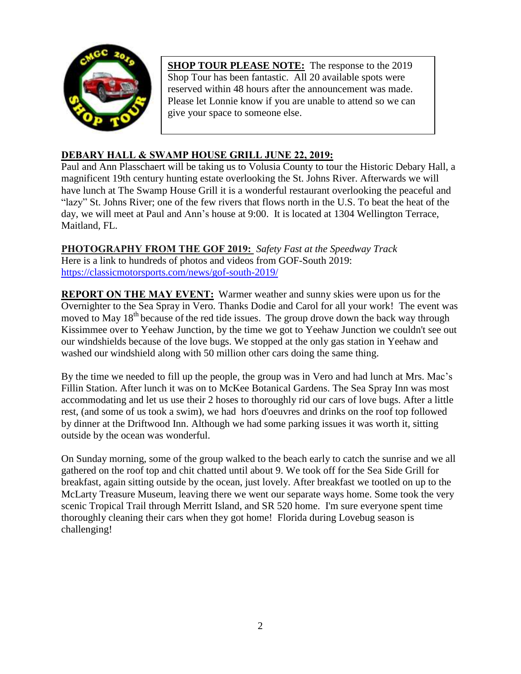

**SHOP TOUR PLEASE NOTE:** The response to the 2019 Shop Tour has been fantastic. All 20 available spots were reserved within 48 hours after the announcement was made. Please let Lonnie know if you are unable to attend so we can give your space to someone else.

## **DEBARY HALL & SWAMP HOUSE GRILL JUNE 22, 2019:**

Paul and Ann Plasschaert will be taking us to Volusia County to tour the Historic Debary Hall, a magnificent 19th century hunting estate overlooking the St. Johns River. Afterwards we will have lunch at The Swamp House Grill it is a wonderful restaurant overlooking the peaceful and "lazy" St. Johns River; one of the few rivers that flows north in the U.S. To beat the heat of the day, we will meet at Paul and Ann's house at 9:00. It is located at 1304 Wellington Terrace, Maitland, FL.

## **PHOTOGRAPHY FROM THE GOF 2019:** *Safety Fast at the Speedway Track*

Here is a link to hundreds of photos and videos from GOF-South 2019: <https://classicmotorsports.com/news/gof-south-2019/>

**REPORT ON THE MAY EVENT:** Warmer weather and sunny skies were upon us for the Overnighter to the Sea Spray in Vero. Thanks Dodie and Carol for all your work! The event was moved to May  $18<sup>th</sup>$  because of the red tide issues. The group drove down the back way through Kissimmee over to Yeehaw Junction, by the time we got to Yeehaw Junction we couldn't see out our windshields because of the love bugs. We stopped at the only gas station in Yeehaw and washed our windshield along with 50 million other cars doing the same thing.

By the time we needed to fill up the people, the group was in Vero and had lunch at Mrs. Mac's Fillin Station. After lunch it was on to McKee Botanical Gardens. The Sea Spray Inn was most accommodating and let us use their 2 hoses to thoroughly rid our cars of love bugs. After a little rest, (and some of us took a swim), we had hors d'oeuvres and drinks on the roof top followed by dinner at the Driftwood Inn. Although we had some parking issues it was worth it, sitting outside by the ocean was wonderful.

On Sunday morning, some of the group walked to the beach early to catch the sunrise and we all gathered on the roof top and chit chatted until about 9. We took off for the Sea Side Grill for breakfast, again sitting outside by the ocean, just lovely. After breakfast we tootled on up to the McLarty Treasure Museum, leaving there we went our separate ways home. Some took the very scenic Tropical Trail through Merritt Island, and SR 520 home. I'm sure everyone spent time thoroughly cleaning their cars when they got home! Florida during Lovebug season is challenging!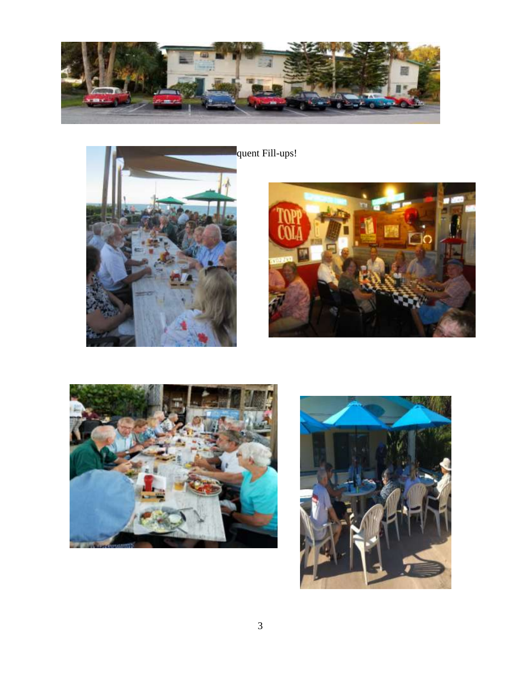





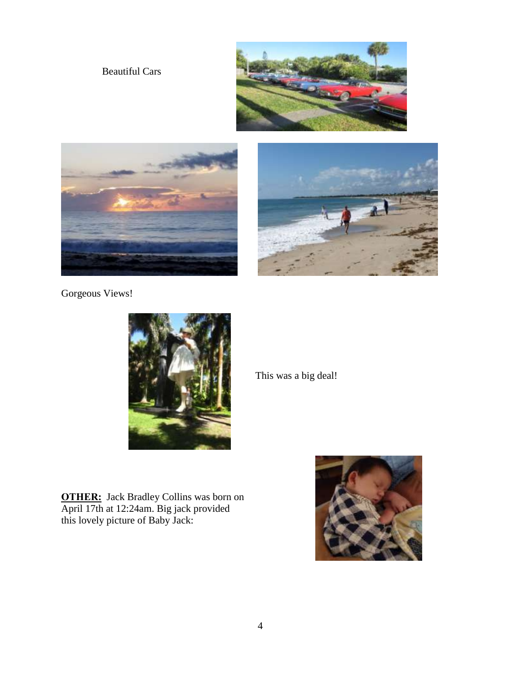## Beautiful Cars







Gorgeous Views!



**OTHER:** Jack Bradley Collins was born on April 17th at 12:24am. Big jack provided this lovely picture of Baby Jack:

This was a big deal!